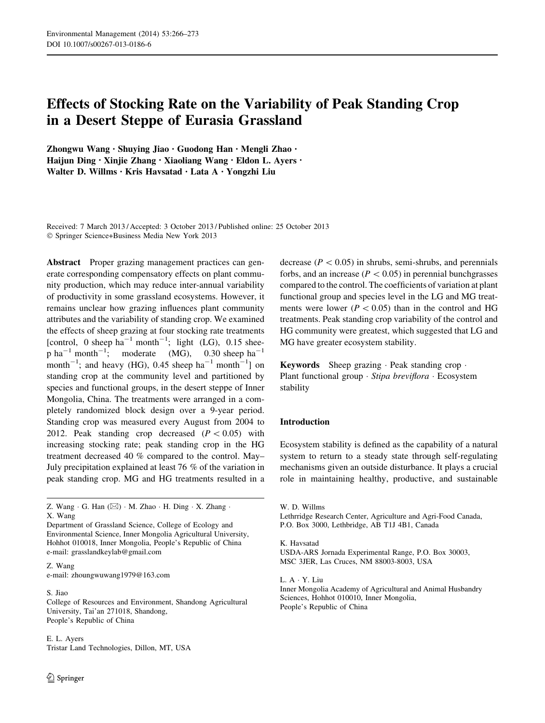# Effects of Stocking Rate on the Variability of Peak Standing Crop in a Desert Steppe of Eurasia Grassland

Zhongwu Wang • Shuying Jiao • Guodong Han • Mengli Zhao • Haijun Ding • Xinjie Zhang • Xiaoliang Wang • Eldon L. Ayers • Walter D. Willms • Kris Havsatad • Lata A • Yongzhi Liu

Received: 7 March 2013 / Accepted: 3 October 2013 / Published online: 25 October 2013 - Springer Science+Business Media New York 2013

Abstract Proper grazing management practices can generate corresponding compensatory effects on plant community production, which may reduce inter-annual variability of productivity in some grassland ecosystems. However, it remains unclear how grazing influences plant community attributes and the variability of standing crop. We examined the effects of sheep grazing at four stocking rate treatments [control, 0 sheep  $ha^{-1}$  month<sup>-1</sup>; light (LG), 0.15 sheep ha<sup>-1</sup> month<sup>-1</sup>; moderate (MG), 0.30 sheep ha<sup>-1</sup> month<sup>-1</sup>; and heavy (HG), 0.45 sheep ha<sup>-1</sup> month<sup>-1</sup>] on standing crop at the community level and partitioned by species and functional groups, in the desert steppe of Inner Mongolia, China. The treatments were arranged in a completely randomized block design over a 9-year period. Standing crop was measured every August from 2004 to 2012. Peak standing crop decreased  $(P<0.05)$  with increasing stocking rate; peak standing crop in the HG treatment decreased 40 % compared to the control. May– July precipitation explained at least 76 % of the variation in peak standing crop. MG and HG treatments resulted in a

Department of Grassland Science, College of Ecology and Environmental Science, Inner Mongolia Agricultural University, Hohhot 010018, Inner Mongolia, People's Republic of China e-mail: grasslandkeylab@gmail.com

Z. Wang e-mail: zhoungwuwang1979@163.com

S. Jiao College of Resources and Environment, Shandong Agricultural University, Tai'an 271018, Shandong, People's Republic of China

E. L. Ayers Tristar Land Technologies, Dillon, MT, USA decrease ( $P < 0.05$ ) in shrubs, semi-shrubs, and perennials forbs, and an increase ( $P < 0.05$ ) in perennial bunchgrasses compared to the control. The coefficients of variation at plant functional group and species level in the LG and MG treatments were lower ( $P < 0.05$ ) than in the control and HG treatments. Peak standing crop variability of the control and HG community were greatest, which suggested that LG and MG have greater ecosystem stability.

Keywords Sheep grazing · Peak standing crop · Plant functional group · Stipa breviflora · Ecosystem stability

## Introduction

Ecosystem stability is defined as the capability of a natural system to return to a steady state through self-regulating mechanisms given an outside disturbance. It plays a crucial role in maintaining healthy, productive, and sustainable

K. Havsatad

L. A - Y. Liu

Inner Mongolia Academy of Agricultural and Animal Husbandry Sciences, Hohhot 010010, Inner Mongolia, People's Republic of China

Z. Wang  $\cdot$  G. Han ( $\boxtimes$ )  $\cdot$  M. Zhao  $\cdot$  H. Ding  $\cdot$  X. Zhang  $\cdot$ X. Wang

W. D. Willms

Lethrridge Research Center, Agriculture and Agri-Food Canada, P.O. Box 3000, Lethbridge, AB T1J 4B1, Canada

USDA-ARS Jornada Experimental Range, P.O. Box 30003, MSC 3JER, Las Cruces, NM 88003-8003, USA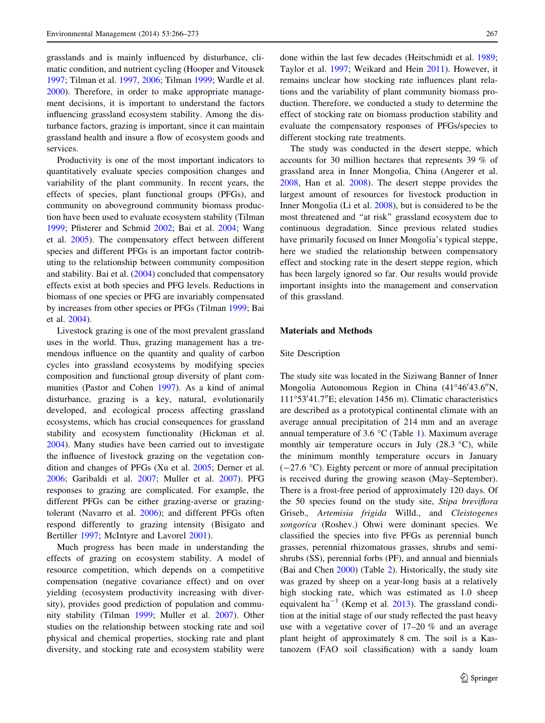grasslands and is mainly influenced by disturbance, climatic condition, and nutrient cycling (Hooper and Vitousek [1997;](#page-7-0) Tilman et al. [1997](#page-7-0), [2006](#page-7-0); Tilman [1999](#page-7-0); Wardle et al. [2000\)](#page-7-0). Therefore, in order to make appropriate management decisions, it is important to understand the factors influencing grassland ecosystem stability. Among the disturbance factors, grazing is important, since it can maintain grassland health and insure a flow of ecosystem goods and services.

Productivity is one of the most important indicators to quantitatively evaluate species composition changes and variability of the plant community. In recent years, the effects of species, plant functional groups (PFGs), and community on aboveground community biomass production have been used to evaluate ecosystem stability (Tilman [1999;](#page-7-0) Pfisterer and Schmid [2002](#page-7-0); Bai et al. [2004](#page-7-0); Wang et al. [2005](#page-7-0)). The compensatory effect between different species and different PFGs is an important factor contributing to the relationship between community composition and stability. Bai et al. [\(2004](#page-7-0)) concluded that compensatory effects exist at both species and PFG levels. Reductions in biomass of one species or PFG are invariably compensated by increases from other species or PFGs (Tilman [1999;](#page-7-0) Bai et al. [2004\)](#page-7-0).

Livestock grazing is one of the most prevalent grassland uses in the world. Thus, grazing management has a tremendous influence on the quantity and quality of carbon cycles into grassland ecosystems by modifying species composition and functional group diversity of plant communities (Pastor and Cohen [1997](#page-7-0)). As a kind of animal disturbance, grazing is a key, natural, evolutionarily developed, and ecological process affecting grassland ecosystems, which has crucial consequences for grassland stability and ecosystem functionality (Hickman et al. [2004\)](#page-7-0). Many studies have been carried out to investigate the influence of livestock grazing on the vegetation condition and changes of PFGs (Xu et al. [2005](#page-7-0); Derner et al. [2006;](#page-7-0) Garibaldi et al. [2007;](#page-7-0) Muller et al. [2007\)](#page-7-0). PFG responses to grazing are complicated. For example, the different PFGs can be either grazing-averse or grazingtolerant (Navarro et al. [2006](#page-7-0)); and different PFGs often respond differently to grazing intensity (Bisigato and Bertiller [1997;](#page-7-0) McIntyre and Lavorel [2001\)](#page-7-0).

Much progress has been made in understanding the effects of grazing on ecosystem stability. A model of resource competition, which depends on a competitive compensation (negative covariance effect) and on over yielding (ecosystem productivity increasing with diversity), provides good prediction of population and community stability (Tilman [1999](#page-7-0); Muller et al. [2007](#page-7-0)). Other studies on the relationship between stocking rate and soil physical and chemical properties, stocking rate and plant diversity, and stocking rate and ecosystem stability were done within the last few decades (Heitschmidt et al. [1989](#page-7-0); Taylor et al. [1997;](#page-7-0) Weikard and Hein [2011](#page-7-0)). However, it remains unclear how stocking rate influences plant relations and the variability of plant community biomass production. Therefore, we conducted a study to determine the effect of stocking rate on biomass production stability and evaluate the compensatory responses of PFGs/species to different stocking rate treatments.

The study was conducted in the desert steppe, which accounts for 30 million hectares that represents 39 % of grassland area in Inner Mongolia, China (Angerer et al. [2008](#page-7-0), Han et al. [2008](#page-7-0)). The desert steppe provides the largest amount of resources for livestock production in Inner Mongolia (Li et al. [2008](#page-7-0)), but is considered to be the most threatened and ''at risk'' grassland ecosystem due to continuous degradation. Since previous related studies have primarily focused on Inner Mongolia's typical steppe, here we studied the relationship between compensatory effect and stocking rate in the desert steppe region, which has been largely ignored so far. Our results would provide important insights into the management and conservation of this grassland.

## Materials and Methods

#### Site Description

The study site was located in the Siziwang Banner of Inner Mongolia Autonomous Region in China (41°46'43.6"N, 111°53'41.7"E; elevation 1456 m). Climatic characteristics are described as a prototypical continental climate with an average annual precipitation of 214 mm and an average annual temperature of 3.6  $\degree$ C (Table [1](#page-2-0)). Maximum average monthly air temperature occurs in July  $(28.3 \degree C)$ , while the minimum monthly temperature occurs in January  $(-27.6 \degree C)$ . Eighty percent or more of annual precipitation is received during the growing season (May–September). There is a frost-free period of approximately 120 days. Of the 50 species found on the study site, Stipa breviflora Griseb., Artemisia frigida Willd., and Cleistogenes songorica (Roshev.) Ohwi were dominant species. We classified the species into five PFGs as perennial bunch grasses, perennial rhizomatous grasses, shrubs and semishrubs (SS), perennial forbs (PF), and annual and biennials (Bai and Chen [2000\)](#page-7-0) (Table [2\)](#page-2-0). Historically, the study site was grazed by sheep on a year-long basis at a relatively high stocking rate, which was estimated as 1.0 sheep equivalent ha<sup>-1</sup> (Kemp et al. [2013](#page-7-0)). The grassland condition at the initial stage of our study reflected the past heavy use with a vegetative cover of 17–20 % and an average plant height of approximately 8 cm. The soil is a Kastanozem (FAO soil classification) with a sandy loam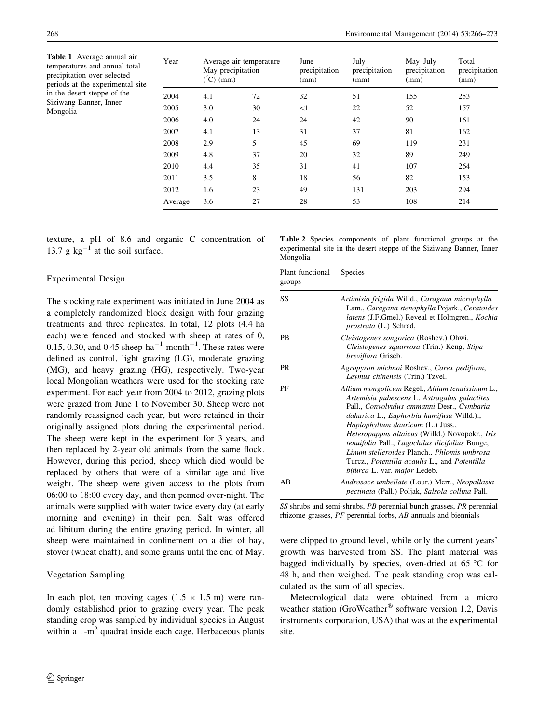<span id="page-2-0"></span>Table 1 Average annual air temperatures and annual total precipitation over selected periods at the experimental site in the desert steppe of the Siziwang Banner, Inner Mongolia

| Year    | May precipitation<br>$(C)$ (mm) | Average air temperature | June<br>precipitation<br>(mm) | July<br>precipitation<br>(mm) | May-July<br>precipitation<br>(mm) | Total<br>precipitation<br>(mm) |  |
|---------|---------------------------------|-------------------------|-------------------------------|-------------------------------|-----------------------------------|--------------------------------|--|
| 2004    | 4.1                             | 72                      | 32                            | 51                            | 155                               | 253                            |  |
| 2005    | 3.0                             | 30                      | $<$ 1                         | 22                            | 52                                | 157                            |  |
| 2006    | 4.0                             | 24                      | 24                            | 42                            | 90                                | 161                            |  |
| 2007    | 4.1                             | 13                      | 31                            | 37                            | 81                                | 162                            |  |
| 2008    | 2.9                             | 5                       | 45                            | 69                            | 119                               | 231                            |  |
| 2009    | 4.8                             | 37                      | 20                            | 32                            | 89                                | 249                            |  |
| 2010    | 4.4                             | 35                      | 31                            | 41                            | 107                               | 264                            |  |
| 2011    | 3.5                             | 8                       | 18                            | 56                            | 82                                | 153                            |  |
| 2012    | 1.6                             | 23                      | 49                            | 131                           | 203                               | 294                            |  |
| Average | 3.6                             | 27                      | 28                            | 53                            | 108                               | 214                            |  |

texture, a pH of 8.6 and organic C concentration of 13.7 g  $kg^{-1}$  at the soil surface.

#### Experimental Design

The stocking rate experiment was initiated in June 2004 as a completely randomized block design with four grazing treatments and three replicates. In total, 12 plots (4.4 ha each) were fenced and stocked with sheep at rates of 0, 0.15, 0.30, and 0.45 sheep  $ha^{-1}$  month<sup>-1</sup>. These rates were defined as control, light grazing (LG), moderate grazing (MG), and heavy grazing (HG), respectively. Two-year local Mongolian weathers were used for the stocking rate experiment. For each year from 2004 to 2012, grazing plots were grazed from June 1 to November 30. Sheep were not randomly reassigned each year, but were retained in their originally assigned plots during the experimental period. The sheep were kept in the experiment for 3 years, and then replaced by 2-year old animals from the same flock. However, during this period, sheep which died would be replaced by others that were of a similar age and live weight. The sheep were given access to the plots from 06:00 to 18:00 every day, and then penned over-night. The animals were supplied with water twice every day (at early morning and evening) in their pen. Salt was offered ad libitum during the entire grazing period. In winter, all sheep were maintained in confinement on a diet of hay, stover (wheat chaff), and some grains until the end of May.

#### Vegetation Sampling

In each plot, ten moving cages  $(1.5 \times 1.5 \text{ m})$  were randomly established prior to grazing every year. The peak standing crop was sampled by individual species in August within a  $1-m^2$  quadrat inside each cage. Herbaceous plants

Table 2 Species components of plant functional groups at the experimental site in the desert steppe of the Siziwang Banner, Inner Mongolia

| Plant functional<br>groups | <b>Species</b>                                                                                                                                                                                                                                                                                                                                                                                                                                                                             |  |  |  |  |
|----------------------------|--------------------------------------------------------------------------------------------------------------------------------------------------------------------------------------------------------------------------------------------------------------------------------------------------------------------------------------------------------------------------------------------------------------------------------------------------------------------------------------------|--|--|--|--|
| SS                         | Artimisia frigida Willd., Caragana microphylla<br>Lam., Caragana stenophylla Pojark., Ceratoides<br><i>latens</i> (J.F.Gmel.) Reveal et Holmgren., <i>Kochia</i><br><i>prostrata</i> (L.) Schrad,                                                                                                                                                                                                                                                                                          |  |  |  |  |
| PB                         | Cleistogenes songorica (Roshev.) Ohwi,<br>Cleistogenes squarrosa (Trin.) Keng, Stipa<br><i>breviflora</i> Griseb.                                                                                                                                                                                                                                                                                                                                                                          |  |  |  |  |
| PR                         | Agropyron michnoi Roshev., Carex pediform,<br>Leymus chinensis (Trin.) Tzvel.                                                                                                                                                                                                                                                                                                                                                                                                              |  |  |  |  |
| PF                         | Allium mongolicum Regel., Allium tenuissinum L.,<br>Artemisia pubescens L. Astragalus galactites<br>Pall., Convolvulus ammanni Desr., Cymbaria<br>dahurica L., Euphorbia humifusa Willd.).,<br>Haplophyllum dauricum (L.) Juss.,<br>Heteropappus altaicus (Willd.) Novopokr., Iris<br><i>tenuifolia Pall., Lagochilus ilicifolius Bunge,</i><br>Linum stelleroides Planch., Phlomis umbrosa<br>Turcz., <i>Potentilla acaulis</i> L., and <i>Potentilla</i><br>bifurca L. var. major Ledeb. |  |  |  |  |
| ΑB                         | Androsace umbellate (Lour.) Merr., Neopallasia<br>pectinata (Pall.) Poljak, Salsola collina Pall.                                                                                                                                                                                                                                                                                                                                                                                          |  |  |  |  |

SS shrubs and semi-shrubs, PB perennial bunch grasses, PR perennial rhizome grasses, PF perennial forbs, AB annuals and biennials

were clipped to ground level, while only the current years' growth was harvested from SS. The plant material was bagged individually by species, oven-dried at  $65^{\circ}$ C for 48 h, and then weighed. The peak standing crop was calculated as the sum of all species.

Meteorological data were obtained from a micro weather station (GroWeather<sup>®</sup> software version 1.2, Davis instruments corporation, USA) that was at the experimental site.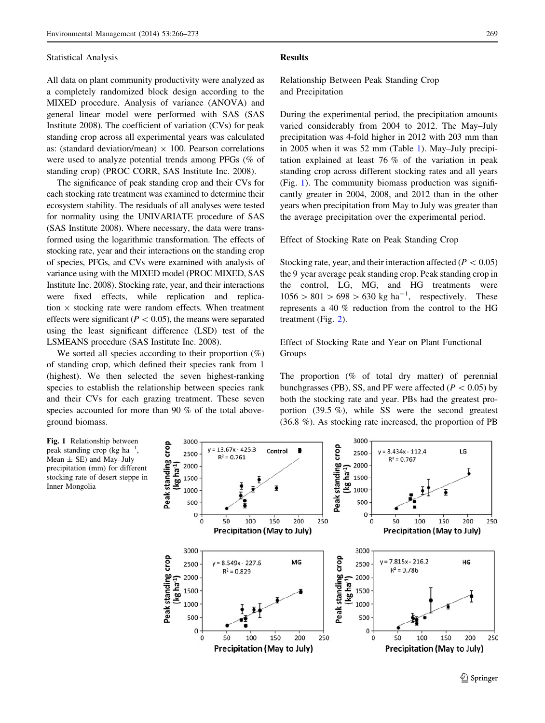#### Statistical Analysis

All data on plant community productivity were analyzed as a completely randomized block design according to the MIXED procedure. Analysis of variance (ANOVA) and general linear model were performed with SAS (SAS Institute 2008). The coefficient of variation (CVs) for peak standing crop across all experimental years was calculated as: (standard deviation/mean)  $\times$  100. Pearson correlations were used to analyze potential trends among PFGs (% of standing crop) (PROC CORR, SAS Institute Inc. 2008).

The significance of peak standing crop and their CVs for each stocking rate treatment was examined to determine their ecosystem stability. The residuals of all analyses were tested for normality using the UNIVARIATE procedure of SAS (SAS Institute 2008). Where necessary, the data were transformed using the logarithmic transformation. The effects of stocking rate, year and their interactions on the standing crop of species, PFGs, and CVs were examined with analysis of variance using with the MIXED model (PROC MIXED, SAS Institute Inc. 2008). Stocking rate, year, and their interactions were fixed effects, while replication and replication  $\times$  stocking rate were random effects. When treatment effects were significant ( $P < 0.05$ ), the means were separated using the least significant difference (LSD) test of the LSMEANS procedure (SAS Institute Inc. 2008).

We sorted all species according to their proportion  $(\%)$ of standing crop, which defined their species rank from 1 (highest). We then selected the seven highest-ranking species to establish the relationship between species rank and their CVs for each grazing treatment. These seven species accounted for more than 90 % of the total aboveground biomass.

#### Results

Relationship Between Peak Standing Crop and Precipitation

During the experimental period, the precipitation amounts varied considerably from 2004 to 2012. The May–July precipitation was 4-fold higher in 2012 with 203 mm than in 2005 when it was 52 mm (Table [1](#page-2-0)). May–July precipitation explained at least 76 % of the variation in peak standing crop across different stocking rates and all years (Fig. 1). The community biomass production was significantly greater in 2004, 2008, and 2012 than in the other years when precipitation from May to July was greater than the average precipitation over the experimental period.

Effect of Stocking Rate on Peak Standing Crop

Stocking rate, year, and their interaction affected ( $P < 0.05$ ) the 9 year average peak standing crop. Peak standing crop in the control, LG, MG, and HG treatments were  $1056 > 801 > 698 > 630$  kg ha<sup>-1</sup>, respectively. These represents a 40 % reduction from the control to the HG treatment (Fig. [2](#page-4-0)).

Effect of Stocking Rate and Year on Plant Functional Groups

The proportion (% of total dry matter) of perennial bunchgrasses (PB), SS, and PF were affected ( $P < 0.05$ ) by both the stocking rate and year. PBs had the greatest proportion (39.5 %), while SS were the second greatest (36.8 %). As stocking rate increased, the proportion of PB

Fig. 1 Relationship between peak standing crop (kg ha<sup>-1</sup>, Mean  $\pm$  SE) and May-July precipitation (mm) for different stocking rate of desert steppe in Inner Mongolia

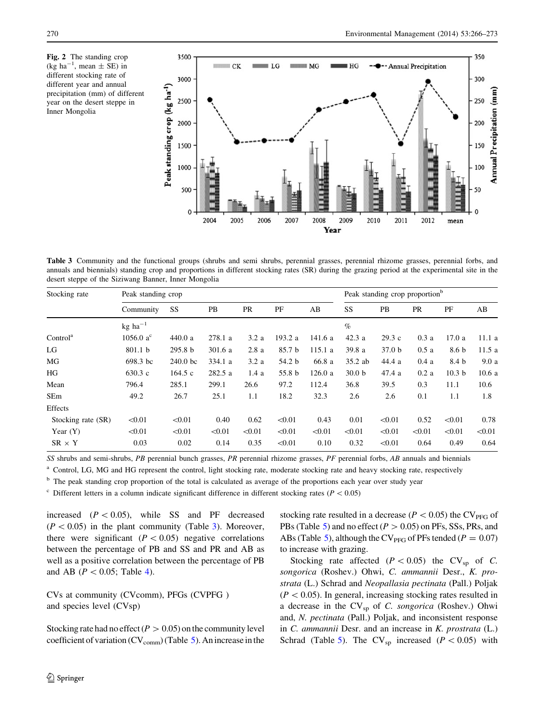<span id="page-4-0"></span>Fig. 2 The standing crop  $(\text{kg} \text{ ha}^{-1}, \text{mean} \pm \text{SE})$  in different stocking rate of different year and annual precipitation (mm) of different year on the desert steppe in Inner Mongolia



Table 3 Community and the functional groups (shrubs and semi shrubs, perennial grasses, perennial rhizome grasses, perennial forbs, and annuals and biennials) standing crop and proportions in different stocking rates (SR) during the grazing period at the experimental site in the desert steppe of the Siziwang Banner, Inner Mongolia

| Stocking rate        | Peak standing crop                 |                    |         |           |         |        | Peak standing crop proportion <sup>b</sup> |                   |        |                   |        |
|----------------------|------------------------------------|--------------------|---------|-----------|---------|--------|--------------------------------------------|-------------------|--------|-------------------|--------|
|                      | Community                          | SS                 | PB      | <b>PR</b> | PF      | AB     | SS                                         | PB                | PR     | PF                | AB     |
|                      | $kg$ ha <sup><math>-1</math></sup> |                    |         |           |         |        | $\%$                                       |                   |        |                   |        |
| Control <sup>a</sup> | 1056.0 $a^{c}$                     | 440.0a             | 278.1 a | 3.2a      | 193.2 a | 141.6a | 42.3a                                      | 29.3c             | 0.3a   | 17.0a             | 11.1a  |
| LG                   | 801.1 <sub>b</sub>                 | 295.8 <sub>b</sub> | 301.6a  | 2.8a      | 85.7 b  | 115.1a | 39.8 a                                     | 37.0 <sub>b</sub> | 0.5a   | 8.6 b             | 11.5a  |
| MG                   | 698.3 bc                           | $240.0$ bc         | 334.1 a | 3.2a      | 54.2 b  | 66.8 a | $35.2$ ab                                  | 44.4 a            | 0.4a   | 8.4 b             | 9.0a   |
| HG                   | 630.3c                             | 164.5c             | 282.5 a | 1.4a      | 55.8 b  | 126.0a | 30.0 <sub>b</sub>                          | 47.4a             | 0.2a   | 10.3 <sub>b</sub> | 10.6a  |
| Mean                 | 796.4                              | 285.1              | 299.1   | 26.6      | 97.2    | 112.4  | 36.8                                       | 39.5              | 0.3    | 11.1              | 10.6   |
| SEm                  | 49.2                               | 26.7               | 25.1    | 1.1       | 18.2    | 32.3   | 2.6                                        | 2.6               | 0.1    | 1.1               | 1.8    |
| Effects              |                                    |                    |         |           |         |        |                                            |                   |        |                   |        |
| Stocking rate (SR)   | < 0.01                             | < 0.01             | 0.40    | 0.62      | < 0.01  | 0.43   | 0.01                                       | < 0.01            | 0.52   | < 0.01            | 0.78   |
| Year $(Y)$           | < 0.01                             | < 0.01             | < 0.01  | < 0.01    | < 0.01  | < 0.01 | < 0.01                                     | < 0.01            | < 0.01 | < 0.01            | < 0.01 |
| $SR \times Y$        | 0.03                               | 0.02               | 0.14    | 0.35      | < 0.01  | 0.10   | 0.32                                       | < 0.01            | 0.64   | 0.49              | 0.64   |

SS shrubs and semi-shrubs, PB perennial bunch grasses, PR perennial rhizome grasses, PF perennial forbs, AB annuals and biennials

<sup>a</sup> Control, LG, MG and HG represent the control, light stocking rate, moderate stocking rate and heavy stocking rate, respectively

<sup>b</sup> The peak standing crop proportion of the total is calculated as average of the proportions each year over study year

 $\degree$  Different letters in a column indicate significant difference in different stocking rates ( $P < 0.05$ )

increased  $(P < 0.05)$ , while SS and PF decreased  $(P<0.05)$  in the plant community (Table 3). Moreover, there were significant  $(P < 0.05)$  negative correlations between the percentage of PB and SS and PR and AB as well as a positive correlation between the percentage of PB and AB ( $P < 0.05$ ; Table [4](#page-5-0)).

CVs at community (CVcomm), PFGs (CVPFG ) and species level (CVsp)

Stocking rate had no effect ( $P > 0.05$ ) on the community level coefficient of variation ( $CV_{comm}$ ) (Table [5\)](#page-5-0). An increase in the stocking rate resulted in a decrease ( $P < 0.05$ ) the CV<sub>PFG</sub> of PBs (Table [5\)](#page-5-0) and no effect ( $P > 0.05$ ) on PFs, SSs, PRs, and ABs (Table [5](#page-5-0)), although the CV<sub>PFG</sub> of PFs tended ( $P = 0.07$ ) to increase with grazing.

Stocking rate affected ( $P < 0.05$ ) the CV<sub>sp</sub> of C. songorica (Roshev.) Ohwi, C. ammannii Desr., K. prostrata (L.) Schrad and Neopallasia pectinata (Pall.) Poljak  $(P<0.05)$ . In general, increasing stocking rates resulted in a decrease in the  $CV_{sp}$  of C. songorica (Roshev.) Ohwi and, N. pectinata (Pall.) Poljak, and inconsistent response in C. ammannii Desr. and an increase in K. prostrata (L.) Schrad (Table [5](#page-5-0)). The  $CV_{sp}$  increased ( $P < 0.05$ ) with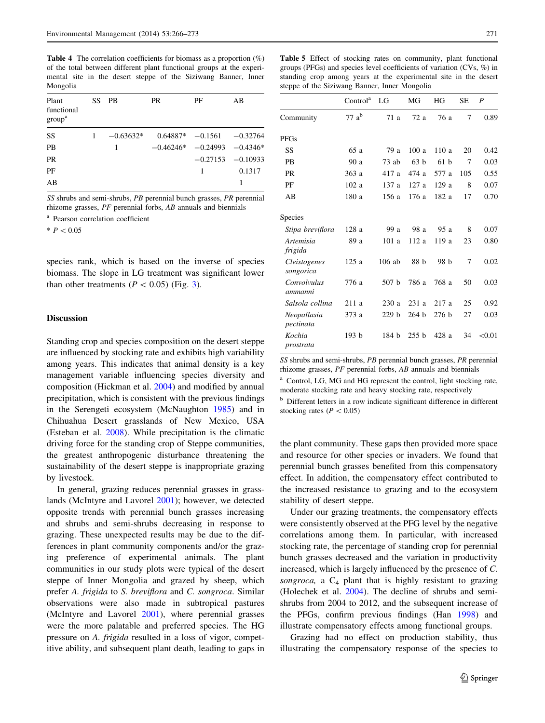<span id="page-5-0"></span>Table 4 The correlation coefficients for biomass as a proportion (%) of the total between different plant functional groups at the experimental site in the desert steppe of the Siziwang Banner, Inner Mongolia

| Plant<br>functional<br>group <sup>a</sup> | SS. | <b>PB</b>   | PR.         | РF                          | AВ                  |
|-------------------------------------------|-----|-------------|-------------|-----------------------------|---------------------|
| SS                                        |     | $-0.63632*$ |             | $0.64887* -0.1561 -0.32764$ |                     |
| <b>PB</b>                                 |     | 1           | $-0.46246*$ | $-0.24993$ $-0.4346*$       |                     |
| <b>PR</b>                                 |     |             |             |                             | $-0.27153 -0.10933$ |
| PF                                        |     |             |             | 1                           | 0.1317              |
| AB                                        |     |             |             |                             |                     |

SS shrubs and semi-shrubs, PB perennial bunch grasses, PR perennial rhizome grasses, PF perennial forbs, AB annuals and biennials

<sup>a</sup> Pearson correlation coefficient

 $* P < 0.05$ 

species rank, which is based on the inverse of species biomass. The slope in LG treatment was significant lower than other treatments ( $P < 0.05$ ) (Fig. [3\)](#page-6-0).

### **Discussion**

Standing crop and species composition on the desert steppe are influenced by stocking rate and exhibits high variability among years. This indicates that animal density is a key management variable influencing species diversity and composition (Hickman et al. [2004](#page-7-0)) and modified by annual precipitation, which is consistent with the previous findings in the Serengeti ecosystem (McNaughton [1985](#page-7-0)) and in Chihuahua Desert grasslands of New Mexico, USA (Esteban et al. [2008\)](#page-7-0). While precipitation is the climatic driving force for the standing crop of Steppe communities, the greatest anthropogenic disturbance threatening the sustainability of the desert steppe is inappropriate grazing by livestock.

In general, grazing reduces perennial grasses in grasslands (McIntyre and Lavorel [2001](#page-7-0)); however, we detected opposite trends with perennial bunch grasses increasing and shrubs and semi-shrubs decreasing in response to grazing. These unexpected results may be due to the differences in plant community components and/or the grazing preference of experimental animals. The plant communities in our study plots were typical of the desert steppe of Inner Mongolia and grazed by sheep, which prefer A. frigida to S. breviflora and C. songroca. Similar observations were also made in subtropical pastures (McIntyre and Lavorel [2001\)](#page-7-0), where perennial grasses were the more palatable and preferred species. The HG pressure on A. frigida resulted in a loss of vigor, competitive ability, and subsequent plant death, leading to gaps in

Table 5 Effect of stocking rates on community, plant functional groups (PFGs) and species level coefficients of variation (CVs, %) in standing crop among years at the experimental site in the desert steppe of the Siziwang Banner, Inner Mongolia

|                           | Control <sup>a</sup> | LG               | MG               | HG               | SE  | P      |
|---------------------------|----------------------|------------------|------------------|------------------|-----|--------|
| Community                 | $77a^b$              | 71 a             | 72a              | 76 a             | 7   | 0.89   |
| <b>PFGs</b>               |                      |                  |                  |                  |     |        |
| SS                        | 65 a                 | 79 a             | 100a             | 110a             | 20  | 0.42   |
| PB                        | 90 a                 | $73$ ab          | 63 <sub>b</sub>  | 61 <sub>b</sub>  | 7   | 0.03   |
| <b>PR</b>                 | 363 a                | 417 a            | 474 a            | 577 a            | 105 | 0.55   |
| PF                        | 102a                 | 137 a            | 127a             | 129a             | 8   | 0.07   |
| AB                        | 180 a                | 156 a            | 176 a            | 182 a            | 17  | 0.70   |
| Species                   |                      |                  |                  |                  |     |        |
| Stipa breviflora          | 128 a                | 99 a             | 98 a             | 95 a             | 8   | 0.07   |
| Artemisia<br>frigida      | 89 a                 | 101a             | 112 a            | 119 a            | 23  | 0.80   |
| Cleistogenes<br>songorica | 125a                 | $106$ ab         | 88 h             | 98 b             | 7   | 0.02   |
| Convolvulus<br>ammanni    | 776 a                | 507 <sub>b</sub> | 786 a            | 768 a            | 50  | 0.03   |
| Salsola collina           | 211a                 | 230a             | 231a             | 217a             | 25  | 0.92   |
| Neopallasia<br>pectinata  | 373 a                | 229 <sub>b</sub> | 264 b            | 276 <sub>b</sub> | 27  | 0.03   |
| Kochia<br>prostrata       | 193 <sub>b</sub>     | 184 b            | 255 <sub>b</sub> | 428a             | 34  | < 0.01 |

SS shrubs and semi-shrubs, PB perennial bunch grasses, PR perennial rhizome grasses, PF perennial forbs, AB annuals and biennials

Control, LG, MG and HG represent the control, light stocking rate, moderate stocking rate and heavy stocking rate, respectively

<sup>b</sup> Different letters in a row indicate significant difference in different stocking rates ( $P < 0.05$ )

the plant community. These gaps then provided more space and resource for other species or invaders. We found that perennial bunch grasses benefited from this compensatory effect. In addition, the compensatory effect contributed to the increased resistance to grazing and to the ecosystem stability of desert steppe.

Under our grazing treatments, the compensatory effects were consistently observed at the PFG level by the negative correlations among them. In particular, with increased stocking rate, the percentage of standing crop for perennial bunch grasses decreased and the variation in productivity increased, which is largely influenced by the presence of C. songroca, a  $C_4$  plant that is highly resistant to grazing (Holechek et al. [2004\)](#page-7-0). The decline of shrubs and semishrubs from 2004 to 2012, and the subsequent increase of the PFGs, confirm previous findings (Han [1998\)](#page-7-0) and illustrate compensatory effects among functional groups.

Grazing had no effect on production stability, thus illustrating the compensatory response of the species to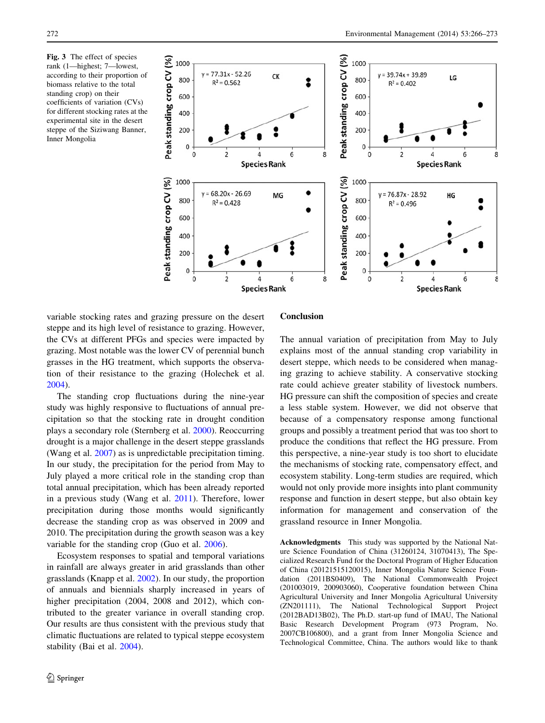<span id="page-6-0"></span>Fig. 3 The effect of species rank (1—highest; 7—lowest, according to their proportion of biomass relative to the total standing crop) on their coefficients of variation (CVs) for different stocking rates at the experimental site in the desert steppe of the Siziwang Banner, Inner Mongolia



variable stocking rates and grazing pressure on the desert steppe and its high level of resistance to grazing. However, the CVs at different PFGs and species were impacted by grazing. Most notable was the lower CV of perennial bunch grasses in the HG treatment, which supports the observation of their resistance to the grazing (Holechek et al. [2004\)](#page-7-0).

The standing crop fluctuations during the nine-year study was highly responsive to fluctuations of annual precipitation so that the stocking rate in drought condition plays a secondary role (Sternberg et al. [2000](#page-7-0)). Reoccurring drought is a major challenge in the desert steppe grasslands (Wang et al. [2007](#page-7-0)) as is unpredictable precipitation timing. In our study, the precipitation for the period from May to July played a more critical role in the standing crop than total annual precipitation, which has been already reported in a previous study (Wang et al. [2011\)](#page-7-0). Therefore, lower precipitation during those months would significantly decrease the standing crop as was observed in 2009 and 2010. The precipitation during the growth season was a key variable for the standing crop (Guo et al. [2006](#page-7-0)).

Ecosystem responses to spatial and temporal variations in rainfall are always greater in arid grasslands than other grasslands (Knapp et al. [2002](#page-7-0)). In our study, the proportion of annuals and biennials sharply increased in years of higher precipitation (2004, 2008 and 2012), which contributed to the greater variance in overall standing crop. Our results are thus consistent with the previous study that climatic fluctuations are related to typical steppe ecosystem stability (Bai et al. [2004\)](#page-7-0).

## Conclusion

The annual variation of precipitation from May to July explains most of the annual standing crop variability in desert steppe, which needs to be considered when managing grazing to achieve stability. A conservative stocking rate could achieve greater stability of livestock numbers. HG pressure can shift the composition of species and create a less stable system. However, we did not observe that because of a compensatory response among functional groups and possibly a treatment period that was too short to produce the conditions that reflect the HG pressure. From this perspective, a nine-year study is too short to elucidate the mechanisms of stocking rate, compensatory effect, and ecosystem stability. Long-term studies are required, which would not only provide more insights into plant community response and function in desert steppe, but also obtain key information for management and conservation of the grassland resource in Inner Mongolia.

Acknowledgments This study was supported by the National Nature Science Foundation of China (31260124, 31070413), The Specialized Research Fund for the Doctoral Program of Higher Education of China (20121515120015), Inner Mongolia Nature Science Foundation (2011BS0409), The National Commonwealth Project (201003019, 200903060), Cooperative foundation between China Agricultural University and Inner Mongolia Agricultural University (ZN201111), The National Technological Support Project (2012BAD13B02), The Ph.D. start-up fund of IMAU, The National Basic Research Development Program (973 Program, No. 2007CB106800), and a grant from Inner Mongolia Science and Technological Committee, China. The authors would like to thank